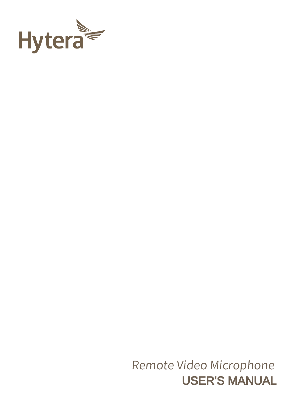

Remote Video Microphone USER'S MANUAL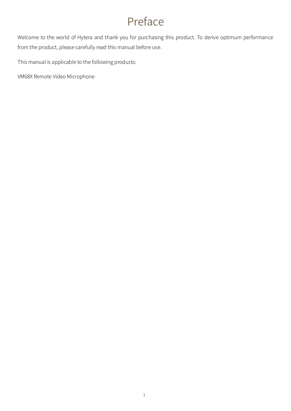# Preface

Welcome to the world of Hytera and thank you for purchasing this product. To derive optimum performance from the product, please carefully read this manual before use.

This manual is applicable to the following products:

VM68X Remote Video Microphone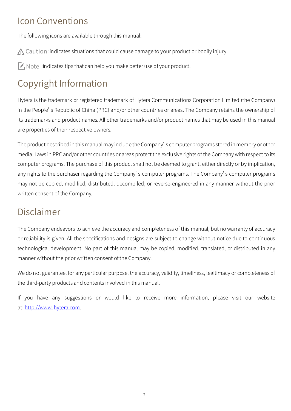### Icon Conventions

The following icons are available through this manual:

 $\Lambda$  Caution :indicates situations that could cause damage to your product or bodily injury.

 $\Box$  Note :indicates tips that can help you make better use of your product.

# Copyright Information

Hytera is the trademark or registered trademark of Hytera Communications Corporation Limited (the Company) in the People's Republic of China (PRC) and/or other countries or areas. The Company retains the ownership of its trademarks and product names. All other trademarks and/or product names that may be used in this manual are properties of their respective owners.

The product described in this manual may include the Company's computer programs stored in memory or other media. Laws in PRC and/or other countries or areas protect the exclusive rights of the Company with respect to its computer programs. The purchase of this product shall not be deemed to grant, either directly or by implication, any rights to the purchaser regarding the Company's computer programs. The Company's computer programs may not be copied, modified, distributed, decompiled, or reverse-engineered in any manner without the prior written consent of the Company.

## Disclaimer

The Company endeavors to achieve the accuracy and completeness of this manual, but no warranty of accuracy or reliability is given. All the specifications and designs are subject to change without notice due to continuous technological development. No part of this manual may be copied, modified, translated, or distributed in any manner without the prior written consent of the Company.

We do not guarantee, for any particular purpose, the accuracy, validity, timeliness, legitimacy or completeness of the third-party products and contents involved in this manual.

If you have any suggestions or would like to receive more information, please visit our website at: [http://www.](http://www.hytera.com/) [hytera.com.](http://www.hytera.com/)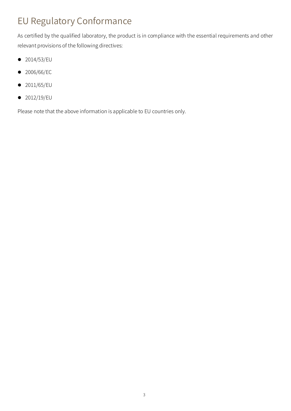### EU Regulatory Conformance

As certified by the qualified laboratory, the product is in compliance with the essential requirements and other relevant provisions of the following directives:

- 2014/53/EU
- 2006/66/EC
- 2011/65/EU
- 2012/19/EU

Please note that the above information is applicable to EU countries only.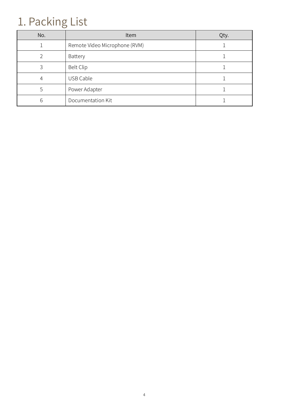# 1. Packing List

| No. | Item                          | Qty. |
|-----|-------------------------------|------|
|     | Remote Video Microphone (RVM) |      |
|     | <b>Battery</b>                |      |
|     | <b>Belt Clip</b>              |      |
|     | USB Cable                     |      |
|     | Power Adapter                 |      |
|     | Documentation Kit             |      |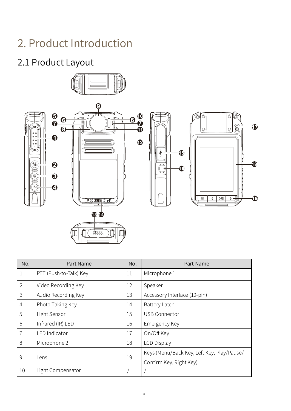# 2. Product Introduction

## 2.1 Product Layout





| No.            | Part Name              | No. | Part Name                                  |
|----------------|------------------------|-----|--------------------------------------------|
| $\mathbf{1}$   | PTT (Push-to-Talk) Key | 11  | Microphone 1                               |
| 2              | Video Recording Key    | 12  | Speaker                                    |
| $\mathcal{S}$  | Audio Recording Key    | 13  | Accessory Interface (10-pin)               |
| $\overline{4}$ | Photo Taking Key       | 14  | Battery Latch                              |
| 5              | Light Sensor           | 15  | <b>USB Connector</b>                       |
| 6              | Infrared (IR) LED      | 16  | Emergency Key                              |
| $\overline{7}$ | <b>LED</b> Indicator   | 17  | On/Off Key                                 |
| 8              | Microphone 2           | 18  | <b>LCD Display</b>                         |
| 9<br>Lens      |                        | 19  | Keys (Menu/Back Key, Left Key, Play/Pause/ |
|                |                        |     | Confirm Key, Right Key)                    |
| 10             | Light Compensator      |     |                                            |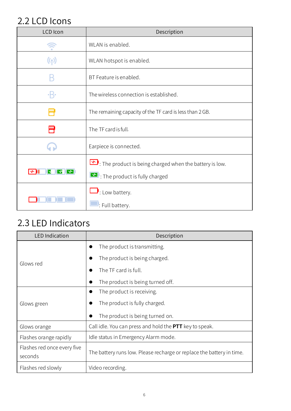### 2.2 LCD Icons

| <b>LCD</b> Icon          | Description                                                                                                                            |
|--------------------------|----------------------------------------------------------------------------------------------------------------------------------------|
|                          | WLAN is enabled.                                                                                                                       |
| $(\mathfrak{c}_1)$       | WLAN hotspot is enabled.                                                                                                               |
|                          | BT Feature is enabled.                                                                                                                 |
| ۰R۰                      | The wireless connection is established.                                                                                                |
| $\blacksquare$           | The remaining capacity of the TF card is less than 2 GB.                                                                               |
| 빰                        | The TF card is full.                                                                                                                   |
|                          | Earpiece is connected.                                                                                                                 |
| $\rightarrow$<br>∼⊪<br>N | $\boxed{\blacktriangleright}$ : The product is being charged when the battery is low.<br>$\blacksquare$ : The product is fully charged |
|                          | $\Box$ : Low battery.<br>$\blacksquare$ : Full battery.                                                                                |

### 2.3 LED Indicators

| <b>LED Indication</b>                  | Description                                                           |
|----------------------------------------|-----------------------------------------------------------------------|
|                                        | The product is transmitting.                                          |
| Glows red                              | The product is being charged.                                         |
|                                        | The TF card is full.                                                  |
|                                        | The product is being turned off.                                      |
|                                        | The product is receiving.                                             |
| Glows green                            | The product is fully charged.                                         |
|                                        | The product is being turned on.                                       |
| Glows orange                           | Call idle. You can press and hold the PTT key to speak.               |
| Flashes orange rapidly                 | Idle status in Emergency Alarm mode.                                  |
| Flashes red once every five<br>seconds | The battery runs low. Please recharge or replace the battery in time. |
| Flashes red slowly                     | Video recording.                                                      |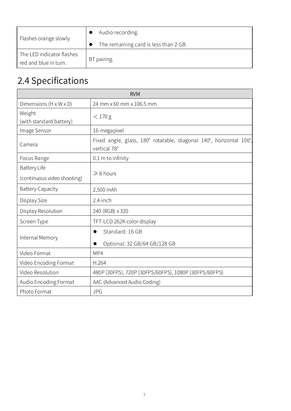| Flashes orange slowly                              | Audio recording.                      |
|----------------------------------------------------|---------------------------------------|
|                                                    | The remaining card is less than 2 GB. |
| The LED indicator flashes<br>red and blue in turn. | BT pairing.                           |

## 2.4 Specifications

| <b>RVM</b>                        |                                                                                    |  |
|-----------------------------------|------------------------------------------------------------------------------------|--|
| Dimensions (H x W x D)            | 24 mm x 60 mm x 106.5 mm                                                           |  |
| Weight<br>(with standard battery) | $<$ 170 g                                                                          |  |
| Image Sensor                      | 16-megapixel                                                                       |  |
| Camera                            | Fixed angle, glass, 180° rotatable, diagonal 140°, horizontal 106°<br>vertical 78° |  |
| Focus Range                       | $0.1$ m to infinity                                                                |  |
| <b>Battery Life</b>               |                                                                                    |  |
| (continuous video shooting)       | $\geq 8$ hours                                                                     |  |
| <b>Battery Capacity</b>           | 2,500 mAh                                                                          |  |
| Display Size                      | $2.4$ -inch                                                                        |  |
| Display Resolution                | 240 (RGB) x 320                                                                    |  |
| Screen Type                       | TFT-LCD 262K color display                                                         |  |
|                                   | Standard: 16 GB                                                                    |  |
| Internal Memory                   | Optional: 32 GB/64 GB/128 GB                                                       |  |
| Video Format                      | MP4                                                                                |  |
| Video Encoding Format             | H.264                                                                              |  |
| Video Resolution                  | 480P (30FPS), 720P (30FPS/60FPS), 1080P (30FPS/60FPS)                              |  |
| Audio Encoding Format             | AAC (Advanced Audio Coding)                                                        |  |
| Photo Format                      | <b>JPG</b>                                                                         |  |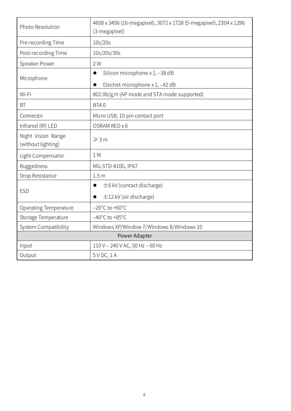| Photo Resolution                         | 4608 x 3456 (16-megapixel), 3072 x 1728 (5-megapixel), 2304 x 1296<br>(3-megapixel) |  |  |
|------------------------------------------|-------------------------------------------------------------------------------------|--|--|
| Pre-recording Time                       | 10s/20s                                                                             |  |  |
| Post-recording Time                      | 10s/20s/30s                                                                         |  |  |
| Speaker Power                            | 2 W                                                                                 |  |  |
| Microphone                               | Silicon microphone x 1, -38 dB                                                      |  |  |
|                                          | Electret microphone x 1, -42 dB                                                     |  |  |
| Wi-Fi                                    | 802.llb/g/n (AP mode and STA mode supported)                                        |  |  |
| <b>BT</b>                                | <b>BT4.0</b>                                                                        |  |  |
| Connector                                | Micro USB, 10-pin contact port                                                      |  |  |
| Infrared (IR) LED                        | OSRAM RED x 6                                                                       |  |  |
| Night Vision Range<br>(without lighting) | $\geqslant$ 3 m                                                                     |  |  |
| Light Compensator                        | 1 W                                                                                 |  |  |
| Ruggedness                               | MIL-STD-810G, IP67                                                                  |  |  |
| Drop Resistance                          | 1.5 <sub>m</sub>                                                                    |  |  |
| <b>ESD</b>                               | $\pm$ 6 kV (contact discharge)                                                      |  |  |
|                                          | $\pm$ 12 kV (air discharge)                                                         |  |  |
| <b>Operating Temperature</b>             | $-20^{\circ}$ C to $+60^{\circ}$ C                                                  |  |  |
| Storage Temperature                      | $-40^{\circ}$ C to +85 $^{\circ}$ C                                                 |  |  |
| System Compatibility                     | Windows XP/Window 7/Windows 8/Windows 10                                            |  |  |
|                                          | Power Adapter                                                                       |  |  |
| Input                                    | 110 V - 240 V AC, 50 Hz - 60 Hz                                                     |  |  |
| Output                                   | 5VDC, 1A                                                                            |  |  |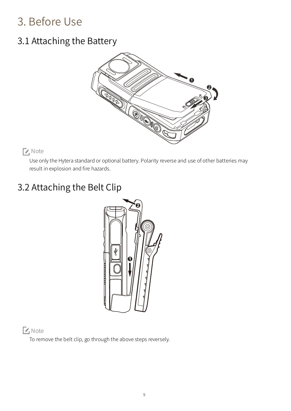# 3. Before Use

### 3.1 Attaching the Battery



#### **Z** Note

Use only the Hytera standard or optional battery. Polarity reverse and use of other batteries may result in explosion and fire hazards.

## 3.2 Attaching the Belt Clip



#### **Z** Note

To remove the belt clip, go through the above steps reversely.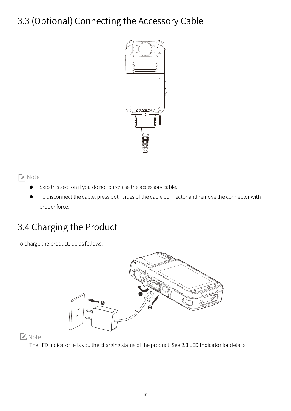## 3.3 (Optional) Connecting the Accessory Cable



**乙**Note

- Skip this section if you do not purchase the accessory cable.
- To disconnect the cable, press both sides of the cable connector and remove the connector with proper force.

## 3.4 Charging the Product

To charge the product, do as follows:



**乙**Note

The LED indicator tells you the charging status of the product. See 2.3 LED Indicator for details.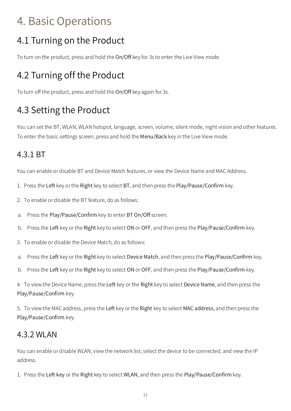# 4. Basic Operations

### 4.1 Turning on the Product

To turn on the product, press and hold the On/Off key for 3s to enter the Live View mode.

## 4.2 Turning off the Product

To turn off the product, press and hold the On/Off key again for 3s.

## 4.3 Setting the Product

You can set the BT, WLAN, WLAN hotspot, language, screen, volume, silent mode, night vision and other features. To enter the basic settings screen, press and hold the Menu/Back key in the Live View mode.

### 4.3.1 BT

You can enable or disable BT and Device Match features, or view the Device Name and MAC Address.

- 1. Press the Left key or the Right key to select BT, and then press the Play/Pause/Confirm key.
- 2. To enable or disable the BT feature, do as follows:
- a. Press the Play/Pause/Confirm key to enter BT On/Off screen.
- b. Press the Left key or the Right key to select ON or OFF, and then press the Play/Pause/Confirm key.
- 3. To enable or disable the Device Match, do as follows:
- a. Press the Left key or the Right key to select Device Match, and then press the Play/Pause/Confirm key.
- b. Press the Left key or the Right key to select ON or OFF, and then press the Play/Pause/Confirm key.

4. To view the Device Name, press the Left key or the Right key to select Device Name, and then press the Play/Pause/Confirm key.

5. To view the MAC address, press the Left key or the Right key to select MAC address, and then press the Play/Pause/Confirm key.

### 4.3.2 WLAN

You can enable or disable WLAN, view the network list, select the device to be connected, and view the IP address.

1. Press the Left key or the Right key to select WLAN, and then press the Play/Pause/Confirm key.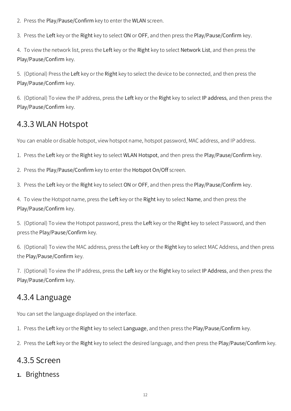2. Press the Play/Pause/Confirm key to enter the WLAN screen.

3. Press the Left key or the Right key to select ON or OFF, and then press the Play/Pause/Confirm key.

4. To view the network list, press the Left key or the Right key to select Network List, and then press the Play/Pause/Confirm key.

5. (Optional) Press the Left key or the Right key to select the device to be connected, and then press the Play/Pause/Confirm key.

6. (Optional) To view the IP address, press the Left key or the Right key to select IP address, and then press the Play/Pause/Confirm key.

### 4.3.3 WLAN Hotspot

You can enable or disable hotspot, view hotspot name, hotspot password, MAC address, and IP address.

1. Press the Left key or the Right key to select WLAN Hotspot, and then press the Play/Pause/Confirm key.

- 2. Press the Play/Pause/Confirm key to enter the Hotspot On/Off screen.
- 3. Press the Left key or the Right key to select ON or OFF, and then press the Play/Pause/Confirm key.

4. To view the Hotspot name, press the Left key or the Right key to select Name, and then press the Play/Pause/Confirm key.

5. (Optional) To view the Hotspot password, press the Left key or the Right key to select Password, and then press the Play/Pause/Confirm key.

6. (Optional) To view the MAC address, press the Left key or the Right key to select MAC Address, and then press the Play/Pause/Confirm key.

7. (Optional) To view the IP address, press the Left key or the Right key to select IP Address, and then press the Play/Pause/Confirm key.

### 4.3.4 Language

You can set the language displayed on the interface.

1. Press the Left key or the Right key to select Language, and then press the Play/Pause/Confirm key.

2. Press the Left key or the Right key to select the desired language, and then press the Play/Pause/Confirm key.

### 4.3.5 Screen

**1.** Brightness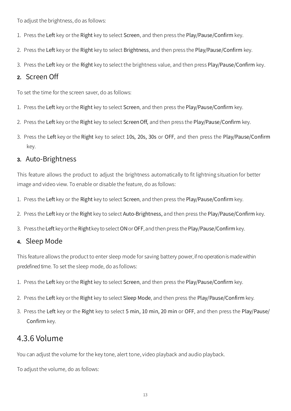To adjust the brightness, do as follows:

- 1. Press the Left key or the Right key to select Screen, and then press the Play/Pause/Confirm key.
- 2. Press the Left key or the Right key to select Brightness, and then press the Play/Pause/Confirm key.
- 3. Press the Left key or the Right key to select the brightness value, and then press Play/Pause/Confirm key.

#### **2.** Screen Off

To set the time for the screen saver, do as follows:

- 1. Press the Left key or the Right key to select Screen, and then press the Play/Pause/Confirm key.
- 2. Press the Left key or the Right key to select Screen Off, and then press the Play/Pause/Confirm key.
- 3. Press the Left key or the Right key to select 10s, 20s, 30s or OFF, and then press the Play/Pause/Confirm key.

#### **3.** Auto-Brightness

This feature allows the product to adjust the brightness automatically to fit lightning situation for better image and video view. To enable or disable the feature, do as follows:

- 1. Press the Left key or the Right key to select Screen, and then press the Play/Pause/Confirm key.
- 2. Press the Left key or the Right key to select Auto-Brightness, and then press the Play/Pause/Confirm key.
- 3. Press the Left key or the Right key to select ON or OFF, and then press the Play/Pause/Confirm key.

#### **4.** Sleep Mode

This feature allows the product to enter sleep mode for saving battery power, if no operation is made within predefined time. To set the sleep mode, do as follows:

- 1. Press the Left key or the Right key to select Screen, and then press the Play/Pause/Confirm key.
- 2. Press the Left key or the Right key to select Sleep Mode, and then press the Play/Pause/Confirm key.
- 3. Press the Left key or the Right key to select 5 min, 10 min, 20 min or OFF, and then press the Play/Pause/ Confirm key.

#### 4.3.6 Volume

You can adjust the volume for the key tone, alert tone, video playback and audio playback.

To adjust the volume, do as follows: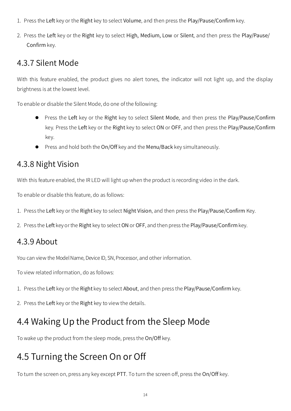- 1. Press the Left key or the Right key to select Volume, and then press the Play/Pause/Confirm key.
- 2. Press the Left key or the Right key to select High, Medium, Low or Silent, and then press the Play/Pause/ Confirm key.

### 4.3.7 Silent Mode

With this feature enabled, the product gives no alert tones, the indicator will not light up, and the display brightness is at the lowest level.

To enable or disable the Silent Mode, do one of the following:

- Press the Left key or the Right key to select Silent Mode, and then press the Play/Pause/Confirm key. Press the Left key or the Right key to select ON or OFF, and then press the Play/Pause/Confirm key.
- **Press and hold both the On/Off key and the Menu/Back key simultaneously.**

### 4.3.8 Night Vision

With this feature enabled, the IR LED will light up when the product is recording video in the dark.

To enable or disable this feature, do as follows:

- 1. Press the Left key or the Right key to select Night Vision, and then press the Play/Pause/Confirm Key.
- 2. Press the Left key or the Right key to select ON or OFF, and then press the Play/Pause/Confirm key.

### 4.3.9 About

You can view the Model Name, Device ID, SN, Processor, and other information.

To view related information, do as follows:

- 1. Press the Left key or the Right key to select About, and then press the Play/Pause/Confirm key.
- 2. Press the Left key or the Right key to view the details.

### 4.4 Waking Up the Product from the Sleep Mode

To wake up the product from the sleep mode, press the On/Off key.

### 4.5 Turning the Screen On or Off

To turn the screen on, press any key except PTT. To turn the screen off, press the On/Off key.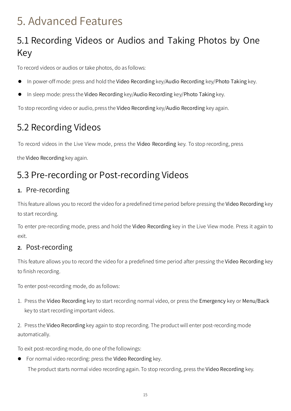# 5. Advanced Features

## 5.1 Recording Videos or Audios and Taking Photos by One Key

To record videos or audios or take photos, do as follows:

- In power-off mode: press and hold the Video Recording key/Audio Recording key/Photo Taking key.
- In sleep mode: press the Video Recording key/Audio Recording key/Photo Taking key.

To stop recording video or audio, press the Video Recording key/Audio Recording key again.

### 5.2 Recording Videos

To record videos in the Live View mode, press the Video Recording key. To stop recording, press

the Video Recording key again.

### 5.3 Pre-recording or Post-recording Videos

#### **1.** Pre-recording

This feature allows you to record the video for a predefined time period before pressing the Video Recording key to start recording.

To enter pre-recording mode, press and hold the Video Recording key in the Live View mode. Press it again to exit.

#### **2.** Post-recording

This feature allows you to record the video for a predefined time period after pressing the Video Recording key to finish recording.

To enter post-recording mode, do as follows:

1. Press the Video Recording key to start recording normal video, or press the Emergency key or Menu/Back key to start recording important videos.

2. Press the Video Recording key again to stop recording. The product will enter post-recording mode automatically.

To exit post-recording mode, do one of the followings:

 For normal video recording: press the Video Recording key. The product starts normal video recording again. To stop recording, press the Video Recording key.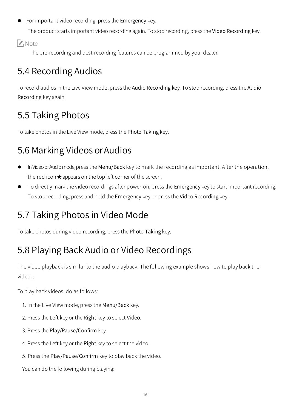For important video recording: press the Emergency key.

The product starts important video recording again. To stop recording, press the Video Recording key.

**Z** Note

The pre-recording and post-recording features can be programmed by your dealer.

## 5.4 Recording Audios

To record audios in the Live View mode, press the Audio Recording key. To stop recording, press the Audio Recording key again.

## 5.5 Taking Photos

To take photos in the Live View mode, press the Photo Taking key.

## 5.6 Marking Videos or Audios

- In Video or Audio mode, press the Menu/Back key to mark the recording as important. After the operation, the red icon  $\star$  appears on the top left corner of the screen.
- To directly mark the video recordings after power-on, press the Emergency key to start important recording. To stop recording, press and hold the Emergency key or press the Video Recording key.

## 5.7 Taking Photos in Video Mode

To take photos during video recording, press the Photo Taking key.

## 5.8 Playing Back Audio or Video Recordings

The video playback is similar to the audio playback. The following example shows how to play back the video. .

To play back videos, do as follows:

- 1. In the Live View mode, press the Menu/Back key.
- 2. Press the Left key or the Right key to select Video.
- 3. Press the Play/Pause/Confirm key.
- 4. Press the Left key or the Right key to select the video.
- 5. Press the Play/Pause/Confirm key to play back the video.

You can do the following during playing: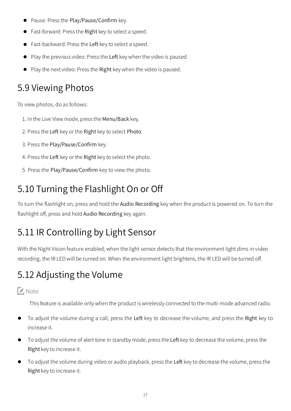- Pause: Press the Play/Pause/Confirm key.
- Fast-forward: Press the Right key to select a speed.
- Fast-backward: Press the Left key to select a speed.
- Play the previous video: Press the Left key when the video is paused.
- Play the next video: Press the Right key when the video is paused.

### 5.9 Viewing Photos

To view photos, do as follows:

- 1. In the Live View mode, press the Menu/Back key.
- 2. Press the Left key or the Right key to select Photo.
- 3. Press the Play/Pause/Confirm key.
- 4. Press the Left key or the Right key to select the photo.
- 5. Press the Play/Pause/Confirm key to view the photo.

## 5.10 Turning the Flashlight On or Off

To turn the flashlight on, press and hold the Audio Recording key when the product is powered on. To turn the flashlight off, press and hold Audio Recording key again.

## 5.11 IR Controlling by Light Sensor

With the Night Vision feature enabled, when the light sensor detects that the environment light dims in video recording, the IR LED will be turned on. When the environment light brightens, the IR LED will be turned off.

## 5.12 Adjusting the Volume

#### $\mathsf{X}$ . Note

This feature is available only when the product is wirelessly connected to the multi-mode advanced radio.

- To adjust the volume during a call, press the Left key to decrease the volume, and press the Right key to increase it.
- To adjust the volume of alert tone in standby mode, press the Left key to decrease the volume, press the Right key to increase it.
- To adjust the volume during video or audio playback, press the Left key to decrease the volume, press the Right key to increase it.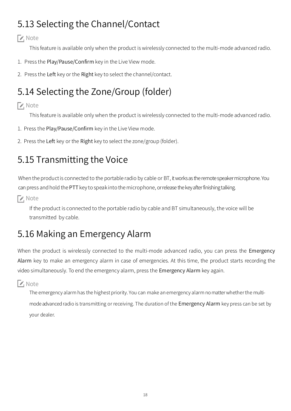## 5.13 Selecting the Channel/Contact

**Z** Note

This feature is available only when the product is wirelessly connected to the multi-mode advanced radio.

- 1. Press the Play/Pause/Confirm key in the Live View mode.
- 2. Press the Left key or the Right key to select the channel/contact.

## 5.14 Selecting the Zone/Group (folder)

#### $\mathcal{L}$ , Note

This feature is available only when the product is wirelessly connected to the multi-mode advanced radio.

- 1. Press the Play/Pause/Confirm key in the Live View mode.
- 2. Press the Left key or the Right key to select the zone/group (folder).

## 5.15 Transmitting the Voice

When the product is connected to the portable radio by cable or BT, it works as the remote speaker microphone. You can press and hold the PTT key to speak into the microphone, or release the key after finishing talking.

**Z** Note

If the product is connected to the portable radio by cable and BT simultaneously, the voice will be transmitted by cable.

### 5.16 Making an Emergency Alarm

When the product is wirelessly connected to the multi-mode advanced radio, you can press the Emergency Alarm key to make an emergency alarm in case of emergencies. At this time, the product starts recording the video simultaneously. To end the emergency alarm, press the Emergency Alarm key again.

 $\mathcal{L}$  Note

The emergency alarm has the highest priority. You can make an emergency alarm no matter whether the multimode advanced radio is transmitting or receiving. The duration of the Emergency Alarm key press can be set by your dealer.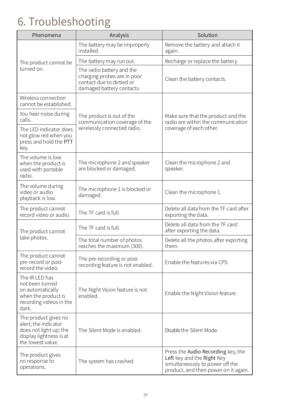# 6. Troubleshooting

| Phenomena                                                                                                              | Analysis                                                                                                           | Solution                                                                                                                                    |  |
|------------------------------------------------------------------------------------------------------------------------|--------------------------------------------------------------------------------------------------------------------|---------------------------------------------------------------------------------------------------------------------------------------------|--|
| The product cannot be<br>turned on.                                                                                    | The battery may be improperly<br>installed.                                                                        | Remove the battery and attach it<br>again.                                                                                                  |  |
|                                                                                                                        | The battery may run out.                                                                                           | Recharge or replace the battery.                                                                                                            |  |
|                                                                                                                        | The radio battery and the<br>charging probes are in poor<br>contact due to dirtied or<br>damaged battery contacts. | Clean the battery contacts.                                                                                                                 |  |
| Wireless connection<br>cannot be established.                                                                          |                                                                                                                    |                                                                                                                                             |  |
| You hear noise during<br>calls.                                                                                        | The product is out of the<br>communication coverage of the                                                         | Make sure that the product and the<br>radio are within the communication                                                                    |  |
| The LED indicator does<br>not glow red when you<br>press and hold the PTT<br>key.                                      | wirelessly connected radio.                                                                                        | coverage of each other.                                                                                                                     |  |
| The volume is low<br>when the product is<br>used with portable<br>radio.                                               | The microphone 2 and speaker<br>are blocked or damaged.                                                            | Clean the microphone 2 and<br>speaker.                                                                                                      |  |
| The volume during<br>video or audio<br>playback is low.                                                                | The microphone 1 is blocked or<br>damaged.                                                                         | Clean the microphone 1.                                                                                                                     |  |
| The product cannot<br>record video or audio.                                                                           | The TF card is full.                                                                                               | Delete all data from the TF card after<br>exporting the data.                                                                               |  |
| The product cannot<br>take photos.                                                                                     | The TF card is full.                                                                                               | Delete all data from the TF card<br>after exporting the data.                                                                               |  |
|                                                                                                                        | The total number of photos<br>reaches the maximum (300).                                                           | Delete all the photos after exporting<br>them.                                                                                              |  |
| The product cannot<br>pre-record or post-<br>record the video.                                                         | The pre-recording or post-<br>recording feature is not enabled.                                                    | Enable the features via CPS.                                                                                                                |  |
| The IR LED has<br>not been turned<br>on automatically<br>when the product is<br>recording videos in the<br>dark.       | The Night Vision feature is not<br>enabled.                                                                        | Enable the Night Vision feature.                                                                                                            |  |
| The product gives no<br>alert; the indicator<br>does not light up; the<br>display lightness is at<br>the lowest value. | The Silent Mode is enabled.                                                                                        | Disable the Silent Mode.                                                                                                                    |  |
| The product gives<br>no response to<br>operations.                                                                     | The system has crashed.                                                                                            | Press the Audio Recording key, the<br>Left key and the Right Key<br>simultaneously to power off the<br>product, and then power on it again. |  |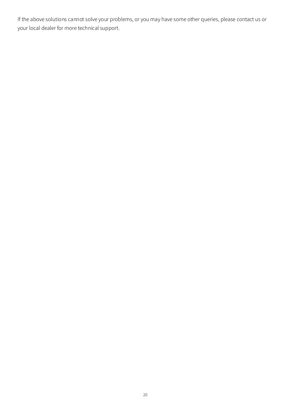If the above solutions cannot solve your problems, or you may have some other queries, please contact us or your local dealer for more technical support.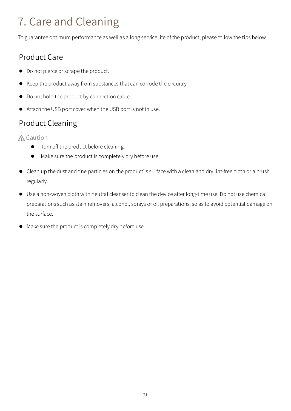# 7. Care and Cleaning

To guarantee optimum performance as well as a long service life of the product, please follow the tips below.

#### Product Care

- Do not pierce or scrape the product.
- Keep the product away from substances that can corrode the circuitry.
- $\bullet$  Do not hold the product by connection cable.
- Attach the USB port cover when the USB port is not in use.

### Product Cleaning

△ Caution

- **•** Turn off the product before cleaning.
- $\bullet$  Make sure the product is completely dry before use.
- Clean up the dust and fine particles on the product's surface with a clean and dry lint-free cloth or a brush regularly.
- Use a non-woven cloth with neutral cleanser to clean the device after long-time use. Do not use chemical preparations such as stain removers, alcohol, sprays or oil preparations, so as to avoid potential damage on the surface.
- $\bullet$  Make sure the product is completely dry before use.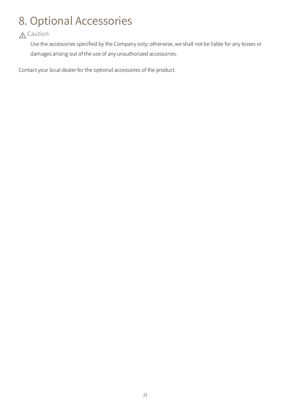# 8. Optional Accessories

#### △ Caution

Use the accessories specified by the Company only; otherwise, we shall not be liable for any losses or damages arising out of the use of any unauthorized accessories.

Contact your local dealer for the optional accessories of the product.